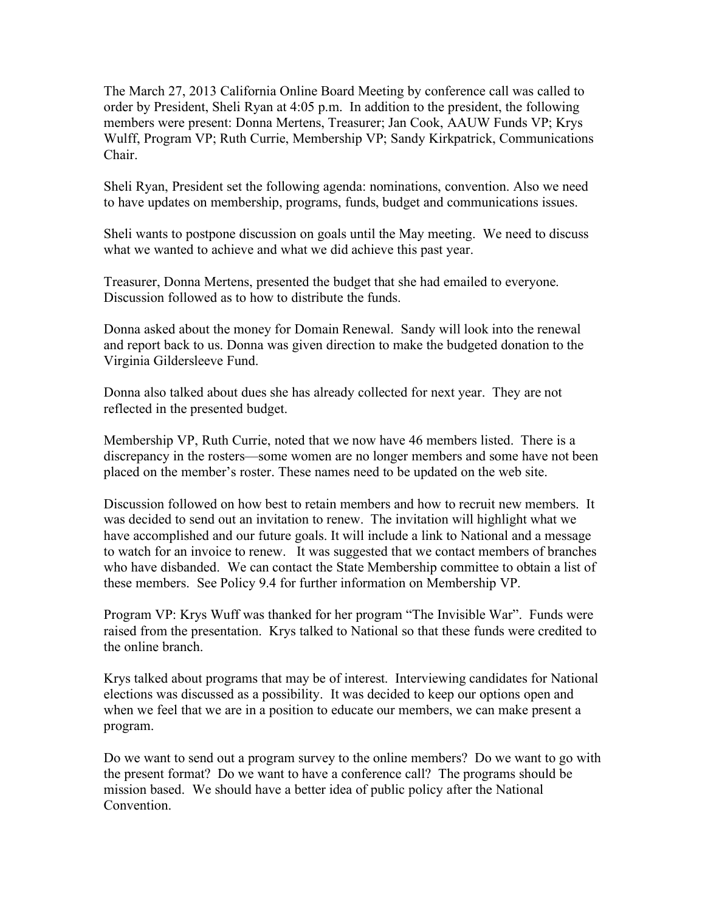The March 27, 2013 California Online Board Meeting by conference call was called to order by President, Sheli Ryan at 4:05 p.m. In addition to the president, the following members were present: Donna Mertens, Treasurer; Jan Cook, AAUW Funds VP; Krys Wulff, Program VP; Ruth Currie, Membership VP; Sandy Kirkpatrick, Communications Chair.

Sheli Ryan, President set the following agenda: nominations, convention. Also we need to have updates on membership, programs, funds, budget and communications issues.

Sheli wants to postpone discussion on goals until the May meeting. We need to discuss what we wanted to achieve and what we did achieve this past year.

Treasurer, Donna Mertens, presented the budget that she had emailed to everyone. Discussion followed as to how to distribute the funds.

Donna asked about the money for Domain Renewal. Sandy will look into the renewal and report back to us. Donna was given direction to make the budgeted donation to the Virginia Gildersleeve Fund.

Donna also talked about dues she has already collected for next year. They are not reflected in the presented budget.

Membership VP, Ruth Currie, noted that we now have 46 members listed. There is a discrepancy in the rosters—some women are no longer members and some have not been placed on the member's roster. These names need to be updated on the web site.

Discussion followed on how best to retain members and how to recruit new members. It was decided to send out an invitation to renew. The invitation will highlight what we have accomplished and our future goals. It will include a link to National and a message to watch for an invoice to renew. It was suggested that we contact members of branches who have disbanded. We can contact the State Membership committee to obtain a list of these members. See Policy 9.4 for further information on Membership VP.

Program VP: Krys Wuff was thanked for her program "The Invisible War". Funds were raised from the presentation. Krys talked to National so that these funds were credited to the online branch.

Krys talked about programs that may be of interest. Interviewing candidates for National elections was discussed as a possibility. It was decided to keep our options open and when we feel that we are in a position to educate our members, we can make present a program.

Do we want to send out a program survey to the online members? Do we want to go with the present format? Do we want to have a conference call? The programs should be mission based. We should have a better idea of public policy after the National Convention.